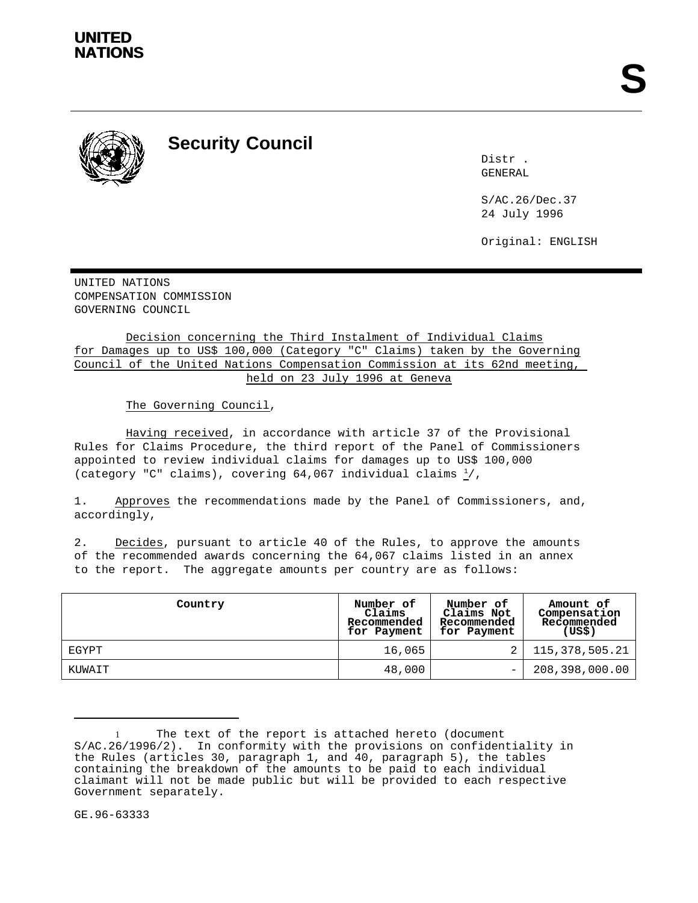

**Security Council**

Distr . GENERAL

S/AC.26/Dec.37 24 July 1996

Original: ENGLISH

UNITED NATIONS COMPENSATION COMMISSION GOVERNING COUNCIL

Decision concerning the Third Instalment of Individual Claims for Damages up to US\$ 100,000 (Category "C" Claims) taken by the Governing Council of the United Nations Compensation Commission at its 62nd meeting, held on 23 July 1996 at Geneva

The Governing Council,

Having received, in accordance with article 37 of the Provisional Rules for Claims Procedure, the third report of the Panel of Commissioners appointed to review individual claims for damages up to US\$ 100,000 (category "C" claims), covering 64,067 individual claims  $\frac{1}{2}$ ,

1. Approves the recommendations made by the Panel of Commissioners, and, accordingly,

2. Decides, pursuant to article 40 of the Rules, to approve the amounts of the recommended awards concerning the 64,067 claims listed in an annex to the report. The aggregate amounts per country are as follows:

| Country | Number of<br>Claims<br>Recommended<br>for Payment | Number of<br>Claims Not<br>Recommended<br>for Payment | Amount of<br>Compensation<br>Recommended<br>(US\$) |
|---------|---------------------------------------------------|-------------------------------------------------------|----------------------------------------------------|
| EGYPT   | 16,065                                            |                                                       | 115,378,505.21                                     |
| KUWAIT  | 48,000                                            | $\qquad \qquad -$                                     | 208,398,000.00                                     |

<sup>1</sup> The text of the report is attached hereto (document S/AC.26/1996/2). In conformity with the provisions on confidentiality in the Rules (articles 30, paragraph 1, and 40, paragraph 5), the tables containing the breakdown of the amounts to be paid to each individual claimant will not be made public but will be provided to each respective Government separately.